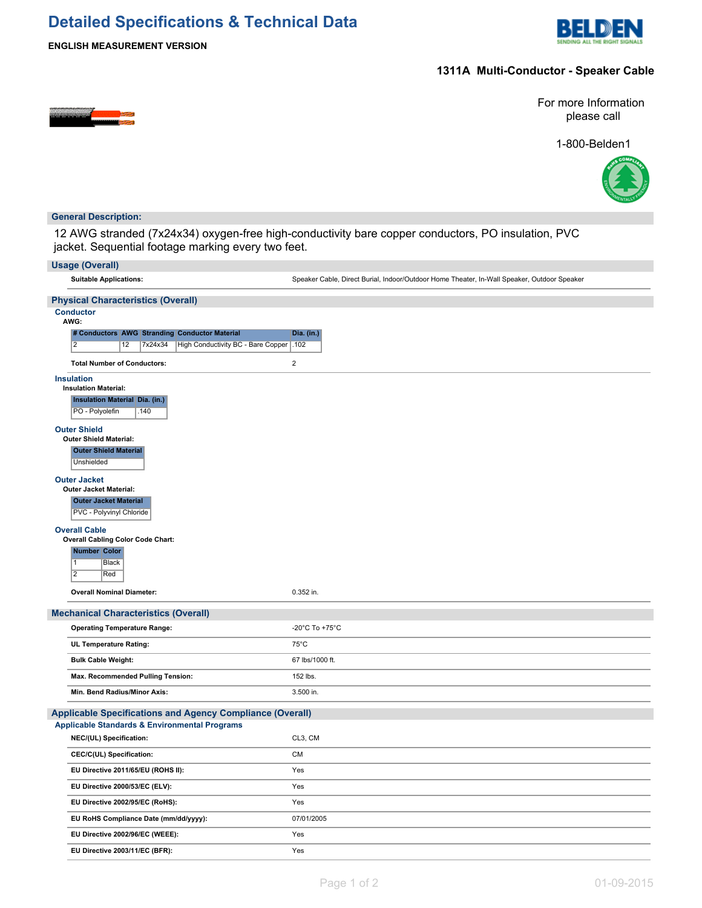# **Detailed Specifications & Technical Data**



**ENGLISH MEASUREMENT VERSION**

### **1311A Multi-Conductor - Speaker Cable**



For more Information please call





#### **General Description:**

12 AWG stranded (7x24x34) oxygen-free high-conductivity bare copper conductors, PO insulation, PVC jacket. Sequential footage marking every two feet.

| <b>Usage (Overall)</b>                                                       |                                                                                             |
|------------------------------------------------------------------------------|---------------------------------------------------------------------------------------------|
| <b>Suitable Applications:</b>                                                | Speaker Cable, Direct Burial, Indoor/Outdoor Home Theater, In-Wall Speaker, Outdoor Speaker |
| <b>Physical Characteristics (Overall)</b>                                    |                                                                                             |
| <b>Conductor</b>                                                             |                                                                                             |
| AWG:<br># Conductors AWG Stranding Conductor Material                        | Dia. (in.)                                                                                  |
| $\overline{2}$<br>High Conductivity BC - Bare Copper   .102<br>12<br>7x24x34 |                                                                                             |
| <b>Total Number of Conductors:</b>                                           | $\overline{2}$                                                                              |
| <b>Insulation</b>                                                            |                                                                                             |
| <b>Insulation Material:</b>                                                  |                                                                                             |
| <b>Insulation Material Dia. (in.)</b><br>PO - Polyolefin<br>.140             |                                                                                             |
| <b>Outer Shield</b>                                                          |                                                                                             |
| <b>Outer Shield Material:</b><br><b>Outer Shield Material</b>                |                                                                                             |
| Unshielded                                                                   |                                                                                             |
| <b>Outer Jacket</b>                                                          |                                                                                             |
| <b>Outer Jacket Material:</b><br><b>Outer Jacket Material</b>                |                                                                                             |
| PVC - Polyvinyl Chloride                                                     |                                                                                             |
| <b>Overall Cable</b>                                                         |                                                                                             |
| <b>Overall Cabling Color Code Chart:</b><br><b>Number Color</b>              |                                                                                             |
| $\vert$ 1<br>Black                                                           |                                                                                             |
| $\overline{2}$<br>Red                                                        |                                                                                             |
| <b>Overall Nominal Diameter:</b>                                             | 0.352 in.                                                                                   |
| <b>Mechanical Characteristics (Overall)</b>                                  |                                                                                             |
| <b>Operating Temperature Range:</b>                                          | -20°C To +75°C                                                                              |
| <b>UL Temperature Rating:</b>                                                | $75^{\circ}$ C                                                                              |
| <b>Bulk Cable Weight:</b>                                                    | 67 lbs/1000 ft.                                                                             |
| Max. Recommended Pulling Tension:                                            | 152 lbs.                                                                                    |
| Min. Bend Radius/Minor Axis:                                                 | 3.500 in.                                                                                   |
| <b>Applicable Specifications and Agency Compliance (Overall)</b>             |                                                                                             |
| <b>Applicable Standards &amp; Environmental Programs</b>                     |                                                                                             |
| NEC/(UL) Specification:                                                      | CL3, CM                                                                                     |
| CEC/C(UL) Specification:                                                     | <b>CM</b>                                                                                   |
| EU Directive 2011/65/EU (ROHS II):                                           | Yes                                                                                         |
| EU Directive 2000/53/EC (ELV):                                               | Yes                                                                                         |
| EU Directive 2002/95/EC (RoHS):                                              | Yes                                                                                         |
| EU RoHS Compliance Date (mm/dd/yyyy):                                        | 07/01/2005                                                                                  |
| EU Directive 2002/96/EC (WEEE):                                              | Yes                                                                                         |
| EU Directive 2003/11/EC (BFR):                                               | Yes                                                                                         |